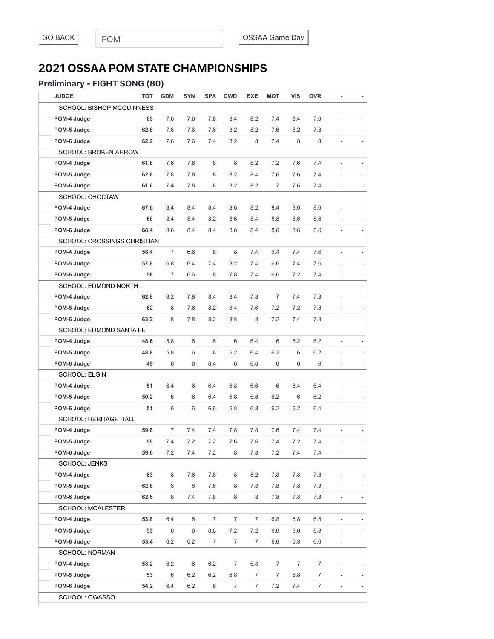## **2021 OSSAA POM STATE CHAMPIONSHIPS**

#### Preliminary - FIGHT SONG (80)

| <b>JUDGE</b>                     | <b>TOT</b> | <b>GDM</b>     | <b>SYN</b> | <b>SPA</b>       | <b>CWD</b>     | <b>EXE</b>     | <b>MOT</b>     | <b>VIS</b>     | <b>OVR</b>       |                          |                          |
|----------------------------------|------------|----------------|------------|------------------|----------------|----------------|----------------|----------------|------------------|--------------------------|--------------------------|
| <b>SCHOOL: BISHOP MCGUINNESS</b> |            |                |            |                  |                |                |                |                |                  |                          |                          |
| POM-4 Judge                      | 63         | 7.6            | 7.6        | 7.8              | 8.4            | 8.2            | 7.4            | 8.4            | 7.6              |                          |                          |
| POM-5 Judge                      | 62.8       | 7.6            | 7.6        | 7.6              | 8.2            | 8.2            | 7.6            | 8.2            | 7.8              |                          |                          |
| POM-6 Judge                      | 62.2       | 7.6            | 7.6        | 7.4              | 8.2            | 8              | 7.4            | 8              | 8                | ÷,                       | $\overline{\phantom{a}}$ |
| <b>SCHOOL: BROKEN ARROW</b>      |            |                |            |                  |                |                |                |                |                  |                          |                          |
| POM-4 Judge                      | 61.8       | 7.6            | 7.8        | 8                | 8              | 8.2            | 7.2            | 7.6            | 7.4              | $\overline{a}$           |                          |
| POM-5 Judge                      | 62.8       | 7.8            | 7.8        | 8                | 8.2            | 8.4            | 7.6            | 7.6            | 7.4              |                          |                          |
| POM-6 Judge                      | 61.6       | 7.4            | 7.8        | 8                | 8.2            | 8.2            | 7              | 7.6            | 7.4              |                          |                          |
| <b>SCHOOL: CHOCTAW</b>           |            |                |            |                  |                |                |                |                |                  |                          |                          |
| POM-4 Judge                      | 67.6       | 8.4            | 8.4        | 8.4              | 8.6            | 8.2            | 8.4            | 8.6            | 8.6              |                          |                          |
| POM-5 Judge                      | 68         | 8.4            | 8.4        | 8.2              | 8.6            | 8.4            | 8.8            | 8.6            | 8.6              |                          |                          |
| POM-6 Judge                      | 68.4       | 8.6            | 8.4        | 8.4              | 8.8            | 8.4            | 8.6            | 8.6            | 8.6              | ÷,                       | $\overline{\phantom{a}}$ |
| SCHOOL: CROSSINGS CHRISTIAN      |            |                |            |                  |                |                |                |                |                  |                          |                          |
| POM-4 Judge                      | 58.4       | $\overline{7}$ | 6.6        | 8                | 8              | 7.4            | 6.4            | 7.4            | 7.6              | $\overline{a}$           |                          |
| POM-5 Judge                      | 57.8       | 6.8            | 6.4        | 7.4              | 8.2            | 7.4            | 6.6            | 7.4            | 7.6              | L,                       |                          |
| POM-6 Judge                      | 58         | 7              | 6.6        | 8                | 7.8            | 7.4            | 6.6            | 7.2            | 7.4              | $\frac{1}{2}$            |                          |
| SCHOOL: EDMOND NORTH             |            |                |            |                  |                |                |                |                |                  |                          |                          |
| POM-4 Judge                      | 62.8       | 8.2            | 7.8        | 8.4              | 8.4            | 7.8            | $\overline{7}$ | 7.4            | 7.8              |                          |                          |
| POM-5 Judge                      | 62         | 8              | 7.6        | 8.2              | 8.4            | 7.6            | 7.2            | 7.2            | 7.8              |                          |                          |
| POM-6 Judge                      | 63.2       | 8              | 7.8        | 8.2              | 8.8            | 8              | 7.2            | 7.4            | 7.8              |                          |                          |
| SCHOOL: EDMOND SANTA FE          |            |                |            |                  |                |                |                |                |                  |                          |                          |
| POM-4 Judge                      | 48.6       | 5.8            | 6          | 6                | 6              | 6.4            | 6              | 6.2            | 6.2              |                          |                          |
| POM-5 Judge                      | 48.8       | 5.8            | 6          | 6                | 6.2            | 6.4            | 6.2            | 6              | 6.2              |                          |                          |
| POM-6 Judge                      | 49         | 6              | 6          | 6.4              | 6              | 6.6            | 6              | 6              | 6                |                          |                          |
| <b>SCHOOL: ELGIN</b>             |            |                |            |                  |                |                |                |                |                  |                          |                          |
| POM-4 Judge                      | 51         | 6.4            | 6          | 6.4              | 6.8            | 6.6            | 6              | 6.4            | 6.4              |                          |                          |
| POM-5 Judge                      | 50.2       | 6              | 6          | 6.4              | 6.8            | 6.6            | 6.2            | 6              | 6.2              |                          |                          |
| POM-6 Judge                      | 51         | 6              | 6          | 6.6              | 6.8            | 6.8            | 6.2            | 6.2            | 6.4              |                          |                          |
| <b>SCHOOL: HERITAGE HALL</b>     |            |                |            |                  |                |                |                |                |                  |                          |                          |
| POM-4 Judge                      | 59.8       | $\overline{7}$ | 7.4        | 7.4              | 7.8            | 7.8            | 7.6            | 7.4            | 7.4              | L,                       |                          |
| POM-5 Judge                      | 59         | 7.4            | 7.2        | 7.2              | 7.6            | 7.6            | 7.4            | 7.2            | 7.4              |                          |                          |
| POM-6 Judge                      | 59.6       | 7.2            | 7.4        | 7.2              | 8              | 7.8            | 7.2            | 7.4            | 7.4              | $\overline{\phantom{a}}$ |                          |
| <b>SCHOOL: JENKS</b>             |            |                |            |                  |                |                |                |                |                  |                          |                          |
| POM-4 Judge                      | 63         | 8              | 7.6        | 7.8              | 8              | 8.2            | 7.8            | 7.8            | 7.8              | $\overline{a}$           |                          |
| POM-5 Judge                      | 62.8       | 8              | 8          | $7.6\,$          | 8              | 7.8            | 7.8            | 7.8            | 7.8              |                          |                          |
| POM-6 Judge                      | 62.6       | 8              | 7.4        | 7.8              | 8              | 8              | 7.8            | 7.8            | 7.8              | $\overline{\phantom{0}}$ |                          |
| <b>SCHOOL: MCALESTER</b>         |            |                |            |                  |                |                |                |                |                  |                          |                          |
| POM-4 Judge                      | 53.8       | 6.4            | 6          | $\boldsymbol{7}$ | $\overline{7}$ | $\overline{7}$ | 6.8            | 6.8            | 6.8              |                          |                          |
| POM-5 Judge                      | 53         | 6              | 6          | 6.6              | 7.2            | 7.2            | $6.6\,$        | 6.6            | $6.8\,$          |                          |                          |
| POM-6 Judge                      | 53.4       | 6.2            | 6.2        | 7                | $\overline{7}$ | $\overline{7}$ | 6.6            | 6.8            | 6.6              | $\overline{\phantom{a}}$ |                          |
| SCHOOL: NORMAN                   |            |                |            |                  |                |                |                |                |                  |                          |                          |
| POM-4 Judge                      | 53.2       | 6.2            | 6          | 6.2              | $\overline{7}$ | 6.8            | $\overline{7}$ | $\overline{7}$ | $\overline{7}$   |                          |                          |
| POM-5 Judge                      | 53         | 6              | 6.2        | 6.2              | $6.8\,$        | $\overline{7}$ | $\overline{7}$ | 6.8            | $\boldsymbol{7}$ |                          |                          |
| POM-6 Judge                      | 54.2       | 6.4            | 6.2        | 6                | $\overline{7}$ | $\overline{7}$ | 7.2            | 7.4            | $\overline{7}$   | ÷,                       |                          |
| SCHOOL: OWASSO                   |            |                |            |                  |                |                |                |                |                  |                          |                          |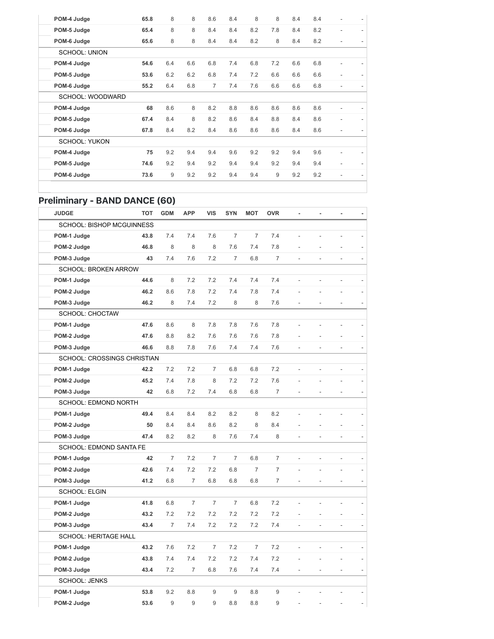| POM-4 Judge          | 65.8 | 8   | 8   | 8.6            | 8.4 | 8   | 8   | 8.4 | 8.4 |   |  |
|----------------------|------|-----|-----|----------------|-----|-----|-----|-----|-----|---|--|
| POM-5 Judge          | 65.4 | 8   | 8   | 8.4            | 8.4 | 8.2 | 7.8 | 8.4 | 8.2 |   |  |
| POM-6 Judge          | 65.6 | 8   | 8   | 8.4            | 8.4 | 8.2 | 8   | 8.4 | 8.2 |   |  |
| <b>SCHOOL: UNION</b> |      |     |     |                |     |     |     |     |     |   |  |
| POM-4 Judge          | 54.6 | 6.4 | 6.6 | 6.8            | 7.4 | 6.8 | 7.2 | 6.6 | 6.8 |   |  |
| POM-5 Judge          | 53.6 | 6.2 | 6.2 | 6.8            | 7.4 | 7.2 | 6.6 | 6.6 | 6.6 | ٠ |  |
| POM-6 Judge          | 55.2 | 6.4 | 6.8 | $\overline{7}$ | 7.4 | 7.6 | 6.6 | 6.6 | 6.8 |   |  |
| SCHOOL: WOODWARD     |      |     |     |                |     |     |     |     |     |   |  |
| POM-4 Judge          | 68   | 8.6 | 8   | 8.2            | 8.8 | 8.6 | 8.6 | 8.6 | 8.6 |   |  |
| POM-5 Judge          | 67.4 | 8.4 | 8   | 8.2            | 8.6 | 8.4 | 8.8 | 8.4 | 8.6 | ٠ |  |
| POM-6 Judge          | 67.8 | 8.4 | 8.2 | 8.4            | 8.6 | 8.6 | 8.6 | 8.4 | 8.6 |   |  |
| <b>SCHOOL: YUKON</b> |      |     |     |                |     |     |     |     |     |   |  |
| POM-4 Judge          | 75   | 9.2 | 9.4 | 9.4            | 9.6 | 9.2 | 9.2 | 9.4 | 9.6 |   |  |
| POM-5 Judge          | 74.6 | 9.2 | 9.4 | 9.2            | 9.4 | 9.4 | 9.2 | 9.4 | 9.4 | ٠ |  |
| POM-6 Judge          | 73.6 | 9   | 9.2 | 9.2            | 9.4 | 9.4 | 9   | 9.2 | 9.2 | ٠ |  |
|                      |      |     |     |                |     |     |     |     |     |   |  |

### Preliminary - BAND DANCE (60)

| <b>JUDGE</b>                     | <b>TOT</b> | <b>GDM</b>     | <b>APP</b>     | <b>VIS</b>     | <b>SYN</b>     | <b>MOT</b>     | <b>OVR</b>     | ä,             | ä              |                |  |
|----------------------------------|------------|----------------|----------------|----------------|----------------|----------------|----------------|----------------|----------------|----------------|--|
| <b>SCHOOL: BISHOP MCGUINNESS</b> |            |                |                |                |                |                |                |                |                |                |  |
| POM-1 Judge                      | 43.8       | 7.4            | 7.4            | 7.6            | $\overline{7}$ | $\overline{7}$ | 7.4            |                |                |                |  |
| POM-2 Judge                      | 46.8       | 8              | 8              | 8              | 7.6            | 7.4            | 7.8            |                |                |                |  |
| POM-3 Judge                      | 43         | 7.4            | 7.6            | 7.2            | $\overline{7}$ | 6.8            | $\overline{7}$ |                |                | L.             |  |
| <b>SCHOOL: BROKEN ARROW</b>      |            |                |                |                |                |                |                |                |                |                |  |
| POM-1 Judge                      | 44.6       | 8              | 7.2            | 7.2            | 7.4            | 7.4            | 7.4            | $\overline{a}$ | Ĭ.             | L,             |  |
| POM-2 Judge                      | 46.2       | 8.6            | 7.8            | 7.2            | 7.4            | 7.8            | 7.4            |                |                |                |  |
| POM-3 Judge                      | 46.2       | 8              | 7.4            | 7.2            | 8              | 8              | 7.6            | L,             | L,             | Ĭ.             |  |
| SCHOOL: CHOCTAW                  |            |                |                |                |                |                |                |                |                |                |  |
| POM-1 Judge                      | 47.6       | 8.6            | 8              | 7.8            | 7.8            | 7.6            | 7.8            |                |                |                |  |
| POM-2 Judge                      | 47.6       | 8.8            | 8.2            | 7.6            | 7.6            | 7.6            | 7.8            |                |                |                |  |
| POM-3 Judge                      | 46.6       | 8.8            | 7.8            | 7.6            | 7.4            | 7.4            | 7.6            | $\frac{1}{2}$  | Ĭ.             | $\overline{a}$ |  |
| SCHOOL: CROSSINGS CHRISTIAN      |            |                |                |                |                |                |                |                |                |                |  |
| POM-1 Judge                      | 42.2       | 7.2            | 7.2            | $\overline{7}$ | 6.8            | 6.8            | 7.2            | Ĭ.             | $\overline{a}$ | $\overline{a}$ |  |
| POM-2 Judge                      | 45.2       | 7.4            | 7.8            | 8              | 7.2            | 7.2            | 7.6            |                |                |                |  |
| POM-3 Judge                      | 42         | 6.8            | 7.2            | 7.4            | 6.8            | 6.8            | $\overline{7}$ |                |                |                |  |
| SCHOOL: EDMOND NORTH             |            |                |                |                |                |                |                |                |                |                |  |
| POM-1 Judge                      | 49.4       | 8.4            | 8.4            | 8.2            | 8.2            | 8              | 8.2            |                |                |                |  |
| POM-2 Judge                      | 50         | 8.4            | 8.4            | 8.6            | 8.2            | 8              | 8.4            |                |                |                |  |
| POM-3 Judge                      | 47.4       | 8.2            | 8.2            | 8              | 7.6            | 7.4            | 8              |                |                |                |  |
| SCHOOL: EDMOND SANTA FE          |            |                |                |                |                |                |                |                |                |                |  |
| POM-1 Judge                      | 42         | $\overline{7}$ | 7.2            | $\overline{7}$ | $\overline{7}$ | 6.8            | $\overline{7}$ | $\overline{a}$ | Ĭ.             | L,             |  |
| POM-2 Judge                      | 42.6       | 7.4            | 7.2            | 7.2            | 6.8            | $\overline{7}$ | $\overline{7}$ |                |                |                |  |
| POM-3 Judge                      | 41.2       | 6.8            | $\overline{7}$ | 6.8            | 6.8            | 6.8            | $\overline{7}$ | L,             | $\overline{a}$ | L,             |  |
| <b>SCHOOL: ELGIN</b>             |            |                |                |                |                |                |                |                |                |                |  |
| POM-1 Judge                      | 41.8       | 6.8            | $\overline{7}$ | $\overline{7}$ | $\overline{7}$ | 6.8            | 7.2            |                |                |                |  |
| POM-2 Judge                      | 43.2       | 7.2            | 7.2            | 7.2            | 7.2            | 7.2            | 7.2            |                |                |                |  |
| POM-3 Judge                      | 43.4       | $\overline{7}$ | 7.4            | 7.2            | 7.2            | 7.2            | 7.4            | $\overline{a}$ | $\overline{a}$ | $\overline{a}$ |  |
| <b>SCHOOL: HERITAGE HALL</b>     |            |                |                |                |                |                |                |                |                |                |  |
| POM-1 Judge                      | 43.2       | 7.6            | 7.2            | $\overline{7}$ | 7.2            | $\overline{7}$ | 7.2            |                | $\overline{a}$ | L,             |  |
| POM-2 Judge                      | 43.8       | 7.4            | 7.4            | 7.2            | 7.2            | 7.4            | 7.2            |                |                |                |  |
| POM-3 Judge                      | 43.4       | 7.2            | $\overline{7}$ | 6.8            | 7.6            | 7.4            | 7.4            |                |                |                |  |
| <b>SCHOOL: JENKS</b>             |            |                |                |                |                |                |                |                |                |                |  |
| POM-1 Judge                      | 53.8       | 9.2            | 8.8            | 9              | 9              | 8.8            | $9\,$          |                |                |                |  |
| POM-2 Judge                      | 53.6       | 9              | 9              | 9              | 8.8            | 8.8            | 9              |                |                |                |  |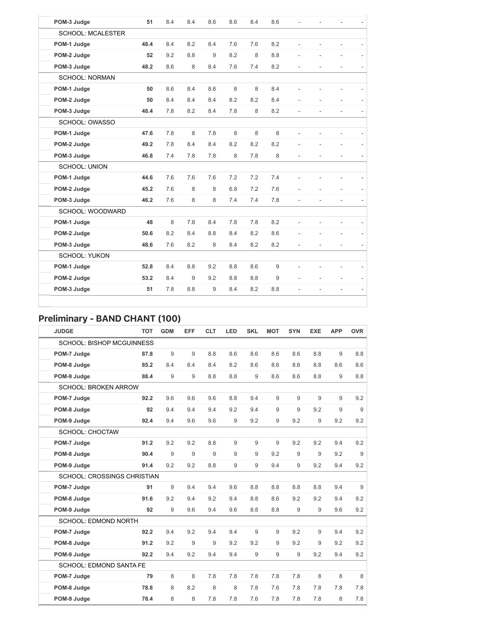| POM-3 Judge              | 51   | 8.4 | 8.4 | 8.6 | 8.6 | 8.4 | 8.6 |                          |    |                          |  |
|--------------------------|------|-----|-----|-----|-----|-----|-----|--------------------------|----|--------------------------|--|
| <b>SCHOOL: MCALESTER</b> |      |     |     |     |     |     |     |                          |    |                          |  |
| POM-1 Judge              | 48.4 | 8.4 | 8.2 | 8.4 | 7.6 | 7.6 | 8.2 |                          |    | ٠                        |  |
| POM-2 Judge              | 52   | 9.2 | 8.8 | 9   | 8.2 | 8   | 8.8 |                          |    | ÷,                       |  |
| POM-3 Judge              | 48.2 | 8.6 | 8   | 8.4 | 7.6 | 7.4 | 8.2 | $\overline{\phantom{a}}$ | ä, | $\overline{\phantom{a}}$ |  |
| <b>SCHOOL: NORMAN</b>    |      |     |     |     |     |     |     |                          |    |                          |  |
| POM-1 Judge              | 50   | 8.6 | 8.4 | 8.6 | 8   | 8   | 8.4 |                          |    |                          |  |
| POM-2 Judge              | 50   | 8.4 | 8.4 | 8.4 | 8.2 | 8.2 | 8.4 |                          |    |                          |  |
| POM-3 Judge              | 48.4 | 7.8 | 8.2 | 8.4 | 7.8 | 8   | 8.2 | ۰                        |    | $\overline{a}$           |  |
| SCHOOL: OWASSO           |      |     |     |     |     |     |     |                          |    |                          |  |
| POM-1 Judge              | 47.6 | 7.8 | 8   | 7.8 | 8   | 8   | 8   |                          |    |                          |  |
| POM-2 Judge              | 49.2 | 7.8 | 8.4 | 8.4 | 8.2 | 8.2 | 8.2 |                          | L, | ÷,                       |  |
| POM-3 Judge              | 46.8 | 7.4 | 7.8 | 7.8 | 8   | 7.8 | 8   |                          |    | ÷,                       |  |
| <b>SCHOOL: UNION</b>     |      |     |     |     |     |     |     |                          |    |                          |  |
| POM-1 Judge              | 44.6 | 7.6 | 7.6 | 7.6 | 7.2 | 7.2 | 7.4 |                          |    |                          |  |
| POM-2 Judge              | 45.2 | 7.6 | 8   | 8   | 6.8 | 7.2 | 7.6 |                          |    | ÷,                       |  |
| POM-3 Judge              | 46.2 | 7.6 | 8   | 8   | 7.4 | 7.4 | 7.8 | ÷.                       | ÷. | ÷,                       |  |
| SCHOOL: WOODWARD         |      |     |     |     |     |     |     |                          |    |                          |  |
| POM-1 Judge              | 48   | 8   | 7.8 | 8.4 | 7.8 | 7.8 | 8.2 |                          |    |                          |  |
| POM-2 Judge              | 50.6 | 8.2 | 8.4 | 8.8 | 8.4 | 8.2 | 8.6 |                          |    | ä,                       |  |
| POM-3 Judge              | 48.6 | 7.6 | 8.2 | 8   | 8.4 | 8.2 | 8.2 |                          | ÷, | $\overline{\phantom{a}}$ |  |
| <b>SCHOOL: YUKON</b>     |      |     |     |     |     |     |     |                          |    |                          |  |
| POM-1 Judge              | 52.8 | 8.4 | 8.8 | 9.2 | 8.8 | 8.6 | 9   |                          |    |                          |  |
| POM-2 Judge              | 53.2 | 8.4 | 9   | 9.2 | 8.8 | 8.8 | 9   |                          |    | $\overline{\phantom{m}}$ |  |
| POM-3 Judge              | 51   | 7.8 | 8.8 | 9   | 8.4 | 8.2 | 8.8 |                          |    | L.                       |  |

# Preliminary - BAND CHANT (100)

| <b>JUDGE</b>                       | <b>TOT</b> | <b>GDM</b> | EFF | <b>CLT</b> | LED | <b>SKL</b> | <b>MOT</b> | <b>SYN</b> | <b>EXE</b> | <b>APP</b> | <b>OVR</b> |
|------------------------------------|------------|------------|-----|------------|-----|------------|------------|------------|------------|------------|------------|
| <b>SCHOOL: BISHOP MCGUINNESS</b>   |            |            |     |            |     |            |            |            |            |            |            |
| POM-7 Judge                        | 87.8       | 9          | 9   | 8.8        | 8.6 | 8.6        | 8.6        | 8.6        | 8.8        | 9          | 8.8        |
| POM-8 Judge                        | 85.2       | 8.4        | 8.4 | 8.4        | 8.2 | 8.6        | 8.6        | 8.6        | 8.8        | 8.6        | 8.6        |
| POM-9 Judge                        | 88.4       | 9          | 9   | 8.8        | 8.8 | 9          | 8.6        | 8.6        | 8.8        | 9          | 8.8        |
| <b>SCHOOL: BROKEN ARROW</b>        |            |            |     |            |     |            |            |            |            |            |            |
| POM-7 Judge                        | 92.2       | 9.6        | 9.6 | 9.6        | 8.8 | 9.4        | 9          | 9          | 9          | 9          | 9.2        |
| POM-8 Judge                        | 92         | 9.4        | 9.4 | 9.4        | 9.2 | 9.4        | 9          | 9          | 9.2        | 9          | 9          |
| POM-9 Judge                        | 92.4       | 9.4        | 9.6 | 9.6        | 9   | 9.2        | 9          | 9.2        | 9          | 9.2        | 9.2        |
| <b>SCHOOL: CHOCTAW</b>             |            |            |     |            |     |            |            |            |            |            |            |
| POM-7 Judge                        | 91.2       | 9.2        | 9.2 | 8.8        | 9   | 9          | 9          | 9.2        | 9.2        | 9.4        | 9.2        |
| POM-8 Judge                        | 90.4       | 9          | 9   | 9          | 9   | 9          | 9.2        | 9          | 9          | 9.2        | 9          |
| POM-9 Judge                        | 91.4       | 9.2        | 9.2 | 8.8        | 9   | 9          | 9.4        | 9          | 9.2        | 9.4        | 9.2        |
| <b>SCHOOL: CROSSINGS CHRISTIAN</b> |            |            |     |            |     |            |            |            |            |            |            |
| POM-7 Judge                        | 91         | 9          | 9.4 | 9.4        | 9.6 | 8.8        | 8.8        | 8.8        | 8.8        | 9.4        | 9          |
| POM-8 Judge                        | 91.6       | 9.2        | 9.4 | 9.2        | 9.4 | 8.8        | 8.6        | 9.2        | 9.2        | 9.4        | 9.2        |
| POM-9 Judge                        | 92         | $9\,$      | 9.6 | 9.4        | 9.6 | 8.8        | 8.8        | 9          | 9          | 9.6        | 9.2        |
| <b>SCHOOL: EDMOND NORTH</b>        |            |            |     |            |     |            |            |            |            |            |            |
| POM-7 Judge                        | 92.2       | 9.4        | 9.2 | 9.4        | 9.4 | 9          | 9          | 9.2        | 9          | 9.4        | 9.2        |
| POM-8 Judge                        | 91.2       | 9.2        | 9   | 9          | 9.2 | 9.2        | 9          | 9.2        | 9          | 9.2        | 9.2        |
| POM-9 Judge                        | 92.2       | 9.4        | 9.2 | 9.4        | 9.4 | 9          | 9          | 9          | 9.2        | 9.4        | 9.2        |
| <b>SCHOOL: EDMOND SANTA FE</b>     |            |            |     |            |     |            |            |            |            |            |            |
| POM-7 Judge                        | 79         | 8          | 8   | 7.8        | 7.8 | 7.8        | 7.8        | 7.8        | 8          | 8          | 8          |
| POM-8 Judge                        | 78.8       | 8          | 8.2 | 8          | 8   | 7.8        | 7.6        | 7.8        | 7.8        | 7.8        | 7.8        |
| POM-9 Judge                        | 78.4       | 8          | 8   | 7.8        | 7.8 | 7.6        | 7.8        | 7.8        | 7.8        | 8          | 7.8        |

÷.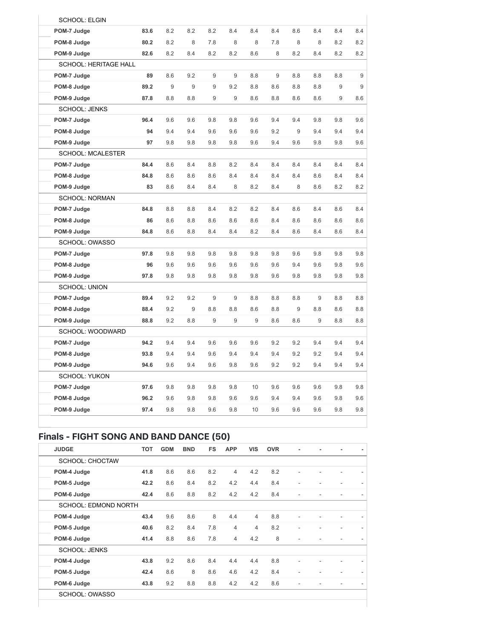| <b>SCHOOL: ELGIN</b>         |      |     |     |     |     |     |     |     |     |     |     |
|------------------------------|------|-----|-----|-----|-----|-----|-----|-----|-----|-----|-----|
| POM-7 Judge                  | 83.6 | 8.2 | 8.2 | 8.2 | 8.4 | 8.4 | 8.4 | 8.6 | 8.4 | 8.4 | 8.4 |
| POM-8 Judge                  | 80.2 | 8.2 | 8   | 7.8 | 8   | 8   | 7.8 | 8   | 8   | 8.2 | 8.2 |
| POM-9 Judge                  | 82.6 | 8.2 | 8.4 | 8.2 | 8.2 | 8.6 | 8   | 8.2 | 8.4 | 8.2 | 8.2 |
| <b>SCHOOL: HERITAGE HALL</b> |      |     |     |     |     |     |     |     |     |     |     |
| POM-7 Judge                  | 89   | 8.6 | 9.2 | 9   | 9   | 8.8 | 9   | 8.8 | 8.8 | 8.8 |     |
| POM-8 Judge                  | 89.2 | 9   | 9   | 9   | 9.2 | 8.8 | 8.6 | 8.8 | 8.8 | 9   |     |
| POM-9 Judge                  | 87.8 | 8.8 | 8.8 | 9   | 9   | 8.6 | 8.8 | 8.6 | 8.6 | 9   | 8.6 |
| <b>SCHOOL: JENKS</b>         |      |     |     |     |     |     |     |     |     |     |     |
| POM-7 Judge                  | 96.4 | 9.6 | 9.6 | 9.8 | 9.8 | 9.6 | 9.4 | 9.4 | 9.8 | 9.8 | 9.6 |
| POM-8 Judge                  | 94   | 9.4 | 9.4 | 9.6 | 9.6 | 9.6 | 9.2 | 9   | 9.4 | 9.4 | 9.4 |
| POM-9 Judge                  | 97   | 9.8 | 9.8 | 9.8 | 9.8 | 9.6 | 9.4 | 9.6 | 9.8 | 9.8 | 9.6 |
| <b>SCHOOL: MCALESTER</b>     |      |     |     |     |     |     |     |     |     |     |     |
| POM-7 Judge                  | 84.4 | 8.6 | 8.4 | 8.8 | 8.2 | 8.4 | 8.4 | 8.4 | 8.4 | 8.4 | 8.4 |
| POM-8 Judge                  | 84.8 | 8.6 | 8.6 | 8.6 | 8.4 | 8.4 | 8.4 | 8.4 | 8.6 | 8.4 | 8.4 |
| POM-9 Judge                  | 83   | 8.6 | 8.4 | 8.4 | 8   | 8.2 | 8.4 | 8   | 8.6 | 8.2 | 8.2 |
| <b>SCHOOL: NORMAN</b>        |      |     |     |     |     |     |     |     |     |     |     |
| POM-7 Judge                  | 84.8 | 8.8 | 8.8 | 8.4 | 8.2 | 8.2 | 8.4 | 8.6 | 8.4 | 8.6 | 8.4 |
| POM-8 Judge                  | 86   | 8.6 | 8.8 | 8.6 | 8.6 | 8.6 | 8.4 | 8.6 | 8.6 | 8.6 | 8.6 |
| POM-9 Judge                  | 84.8 | 8.6 | 8.8 | 8.4 | 8.4 | 8.2 | 8.4 | 8.6 | 8.4 | 8.6 | 8.4 |
| SCHOOL: OWASSO               |      |     |     |     |     |     |     |     |     |     |     |
| POM-7 Judge                  | 97.8 | 9.8 | 9.8 | 9.8 | 9.8 | 9.8 | 9.8 | 9.6 | 9.8 | 9.8 | 9.8 |
| POM-8 Judge                  | 96   | 9.6 | 9.6 | 9.6 | 9.6 | 9.6 | 9.6 | 9.4 | 9.6 | 9.8 | 9.6 |
| POM-9 Judge                  | 97.8 | 9.8 | 9.8 | 9.8 | 9.8 | 9.8 | 9.6 | 9.8 | 9.8 | 9.8 | 9.8 |
| <b>SCHOOL: UNION</b>         |      |     |     |     |     |     |     |     |     |     |     |
| POM-7 Judge                  | 89.4 | 9.2 | 9.2 | 9   | 9   | 8.8 | 8.8 | 8.8 | 9   | 8.8 | 8.8 |
| POM-8 Judge                  | 88.4 | 9.2 | 9   | 8.8 | 8.8 | 8.6 | 8.8 | 9   | 8.8 | 8.6 | 8.8 |
| POM-9 Judge                  | 88.8 | 9.2 | 8.8 | 9   | 9   | 9   | 8.6 | 8.6 | 9   | 8.8 | 8.8 |
| SCHOOL: WOODWARD             |      |     |     |     |     |     |     |     |     |     |     |
| POM-7 Judge                  | 94.2 | 9.4 | 9.4 | 9.6 | 9.6 | 9.6 | 9.2 | 9.2 | 9.4 | 9.4 | 9.4 |
| POM-8 Judge                  | 93.8 | 9.4 | 9.4 | 9.6 | 9.4 | 9.4 | 9.4 | 9.2 | 9.2 | 9.4 | 9.4 |
| POM-9 Judge                  | 94.6 | 9.6 | 9.4 | 9.6 | 9.8 | 9.6 | 9.2 | 9.2 | 9.4 | 9.4 | 9.4 |
| <b>SCHOOL: YUKON</b>         |      |     |     |     |     |     |     |     |     |     |     |
| POM-7 Judge                  | 97.6 | 9.8 | 9.8 | 9.8 | 9.8 | 10  | 9.6 | 9.6 | 9.6 | 9.8 | 9.8 |
| POM-8 Judge                  | 96.2 | 9.6 | 9.8 | 9.8 | 9.6 | 9.6 | 9.4 | 9.4 | 9.6 | 9.8 | 9.6 |
| POM-9 Judge                  | 97.4 | 9.8 | 9.8 | 9.6 | 9.8 | 10  | 9.6 | 9.6 | 9.6 | 9.8 | 9.8 |

## Finals - FIGHT SONG AND BAND DANCE (50)

| <b>JUDGE</b>                | <b>TOT</b> | <b>GDM</b> | <b>BND</b> | <b>FS</b> | <b>APP</b>     | <b>VIS</b>     | <b>OVR</b> |                          |  |  |
|-----------------------------|------------|------------|------------|-----------|----------------|----------------|------------|--------------------------|--|--|
| <b>SCHOOL: CHOCTAW</b>      |            |            |            |           |                |                |            |                          |  |  |
| POM-4 Judge                 | 41.8       | 8.6        | 8.6        | 8.2       | $\overline{4}$ | 4.2            | 8.2        | ٠                        |  |  |
| POM-5 Judge                 | 42.2       | 8.6        | 8.4        | 8.2       | 4.2            | 4.4            | 8.4        | ٠                        |  |  |
| POM-6 Judge                 | 42.4       | 8.6        | 8.8        | 8.2       | 4.2            | 4.2            | 8.4        | ٠                        |  |  |
| <b>SCHOOL: EDMOND NORTH</b> |            |            |            |           |                |                |            |                          |  |  |
| POM-4 Judge                 | 43.4       | 9.6        | 8.6        | 8         | 4.4            | $\overline{4}$ | 8.8        | ٠                        |  |  |
| POM-5 Judge                 | 40.6       | 8.2        | 8.4        | 7.8       | $\overline{4}$ | $\overline{4}$ | 8.2        | ٠                        |  |  |
| POM-6 Judge                 | 41.4       | 8.8        | 8.6        | 7.8       | $\overline{4}$ | 4.2            | 8          | $\overline{\phantom{a}}$ |  |  |
| <b>SCHOOL: JENKS</b>        |            |            |            |           |                |                |            |                          |  |  |
| POM-4 Judge                 | 43.8       | 9.2        | 8.6        | 8.4       | 4.4            | 4.4            | 8.8        | ٠                        |  |  |
| POM-5 Judge                 | 42.4       | 8.6        | 8          | 8.6       | 4.6            | 4.2            | 8.4        | $\overline{\phantom{a}}$ |  |  |
| POM-6 Judge                 | 43.8       | 9.2        | 8.8        | 8.8       | 4.2            | 4.2            | 8.6        | ٠                        |  |  |
| SCHOOL · OWNERD             |            |            |            |           |                |                |            |                          |  |  |

SCHOOL: OWASSO